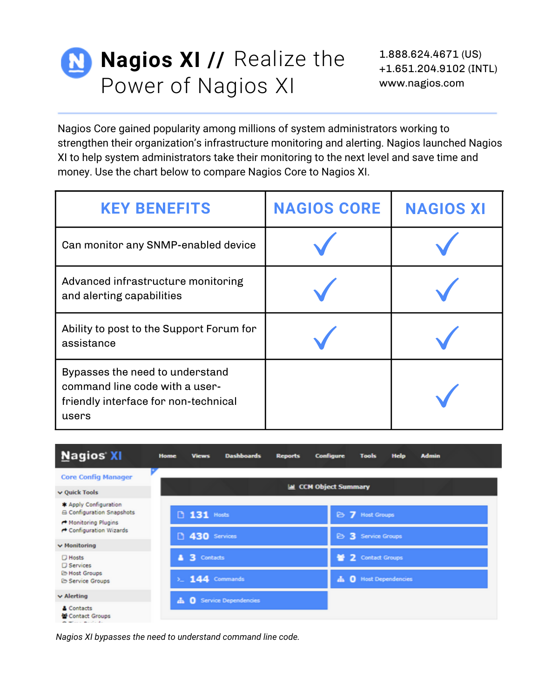## **Nagios XI // Realize the** Power of Nagios XI

Nagios Core gained popularity among millions of system administrators working to strengthen their organization's infrastructure monitoring and alerting. Nagios launched Nagios XI to help system administrators take their monitoring to the next level and save time and money. Use the chart below to compare Nagios Core to Nagios XI.

| <b>KEY BENEFITS</b>                                                                                                | <b>NAGIOS CORE</b> | <b>NAGIOS XI</b> |
|--------------------------------------------------------------------------------------------------------------------|--------------------|------------------|
| Can monitor any SNMP-enabled device                                                                                |                    |                  |
| Advanced infrastructure monitoring<br>and alerting capabilities                                                    |                    |                  |
| Ability to post to the Support Forum for<br>assistance                                                             |                    |                  |
| Bypasses the need to understand<br>command line code with a user-<br>friendly interface for non-technical<br>users |                    |                  |

| <b>Nagios XI</b>                                          | <b>Home</b> | <b>Views</b>              | <b>Dashboards</b>             | <b>Reports</b> | <b>Configure</b>            | <b>Tools</b>       | <b>Help</b>              | <b>Admin</b> |
|-----------------------------------------------------------|-------------|---------------------------|-------------------------------|----------------|-----------------------------|--------------------|--------------------------|--------------|
| <b>Core Config Manager</b>                                |             |                           |                               |                |                             |                    |                          |              |
| v Quick Tools                                             |             |                           |                               |                | <b>M</b> CCM Object Summary |                    |                          |              |
| * Apply Configuration<br><b>A Configuration Snapshots</b> |             | <b>D</b> 131 Hosts        |                               |                |                             | B 7 Host Groups    |                          |              |
| Monitoring Plugins<br>Configuration Wizards               |             | <sup>1</sup> 430 Services |                               |                |                             | B 3 Service Groups |                          |              |
| $\vee$ Monitoring                                         |             |                           |                               |                |                             |                    |                          |              |
| $D$ Hosts<br><b>D</b> Services                            | л           | 3 Contacts                |                               |                | ÷                           | 2 Contact Groups   |                          |              |
| <b>E Host Groups</b><br><b>E</b> Service Groups           |             | $\Sigma$ 144 Commands     |                               |                | ÷.                          | $\Omega$           | <b>Host Dependencies</b> |              |
| $\vee$ Alerting                                           | ÷           |                           | <b>Q</b> Service Dependencies |                |                             |                    |                          |              |
| & Contacts<br>Contact Groups                              |             |                           |                               |                |                             |                    |                          |              |

*Nagios XI bypasses the need to understand command line code.*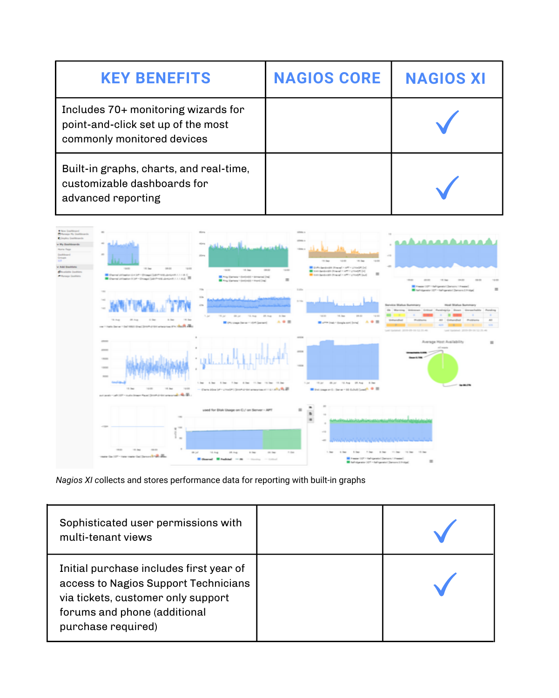| <b>KEY BENEFITS</b>                                                                                     | <b>NAGIOS CORE</b> | <b>NAGIOS XI</b> |
|---------------------------------------------------------------------------------------------------------|--------------------|------------------|
| Includes 70+ monitoring wizards for<br>point-and-click set up of the most<br>commonly monitored devices |                    |                  |
| Built-in graphs, charts, and real-time,<br>customizable dashboards for<br>advanced reporting            |                    |                  |



## *Nagios XI c*ollects and stores performance data for reporting with built-in graphs

| Sophisticated user permissions with<br>multi-tenant views                                                                                                                   |  |
|-----------------------------------------------------------------------------------------------------------------------------------------------------------------------------|--|
| Initial purchase includes first year of<br>access to Nagios Support Technicians<br>via tickets, customer only support<br>forums and phone (additional<br>purchase required) |  |